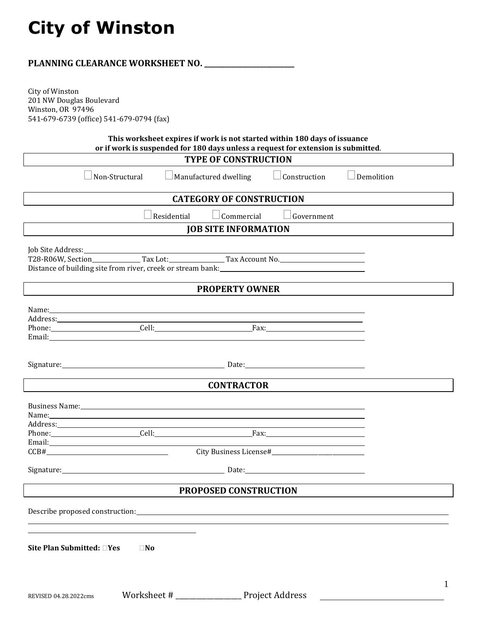## **City of Winston**

|                                                               |                                                                                                                                                                                                                                                                                                                                       | PLANNING CLEARANCE WORKSHEET NO. _________ |                        |            |  |
|---------------------------------------------------------------|---------------------------------------------------------------------------------------------------------------------------------------------------------------------------------------------------------------------------------------------------------------------------------------------------------------------------------------|--------------------------------------------|------------------------|------------|--|
| City of Winston<br>201 NW Douglas Boulevard                   |                                                                                                                                                                                                                                                                                                                                       |                                            |                        |            |  |
| Winston, OR 97496<br>541-679-6739 (office) 541-679-0794 (fax) |                                                                                                                                                                                                                                                                                                                                       |                                            |                        |            |  |
|                                                               | This worksheet expires if work is not started within 180 days of issuance                                                                                                                                                                                                                                                             |                                            |                        |            |  |
|                                                               | or if work is suspended for 180 days unless a request for extension is submitted.                                                                                                                                                                                                                                                     | <b>TYPE OF CONSTRUCTION</b>                |                        |            |  |
|                                                               |                                                                                                                                                                                                                                                                                                                                       |                                            |                        |            |  |
|                                                               | Non-Structural                                                                                                                                                                                                                                                                                                                        | Manufactured dwelling                      | $\Box$ Construction    | Demolition |  |
|                                                               |                                                                                                                                                                                                                                                                                                                                       | <b>CATEGORY OF CONSTRUCTION</b>            |                        |            |  |
|                                                               | Residential                                                                                                                                                                                                                                                                                                                           | Commercial                                 | $\lrcorner$ Government |            |  |
|                                                               |                                                                                                                                                                                                                                                                                                                                       | <b>JOB SITE INFORMATION</b>                |                        |            |  |
|                                                               |                                                                                                                                                                                                                                                                                                                                       |                                            |                        |            |  |
|                                                               |                                                                                                                                                                                                                                                                                                                                       |                                            |                        |            |  |
|                                                               | Distance of building site from river, creek or stream bank: <u>[18] Distance of building</u> site from river, creek or stream bank:                                                                                                                                                                                                   |                                            |                        |            |  |
|                                                               |                                                                                                                                                                                                                                                                                                                                       | <b>PROPERTY OWNER</b>                      |                        |            |  |
|                                                               |                                                                                                                                                                                                                                                                                                                                       |                                            |                        |            |  |
|                                                               | Name: Name and the second contract of the second contract of the second contract of the second contract of the second contract of the second contract of the second contract of the second contract of the second contract of<br>Address: Address: Address: Address: Address: Address: Address: Address: Address: Address: Address: A |                                            |                        |            |  |
|                                                               |                                                                                                                                                                                                                                                                                                                                       |                                            |                        |            |  |
|                                                               | Email: <u>Alexander and Communication</u> and Communication and Communication and Communication and Communication and Communication and Communication and Communication and Communication and Communication and Communication and C                                                                                                   |                                            |                        |            |  |
|                                                               |                                                                                                                                                                                                                                                                                                                                       |                                            |                        |            |  |
|                                                               | Signature: 2008 2010 2020 2020 2020 2020 2030 2040: 2040: 2040: 2040: 2040: 2040: 2040: 2040: 2040: 2040: 2040                                                                                                                                                                                                                        |                                            |                        |            |  |
|                                                               |                                                                                                                                                                                                                                                                                                                                       | <b>CONTRACTOR</b>                          |                        |            |  |
|                                                               |                                                                                                                                                                                                                                                                                                                                       |                                            |                        |            |  |
|                                                               | Business Name: 1999 Manual Communication of the Business Name:<br>Name: No. 2008 and 2008 and 2008 and 2008 and 2008 and 2008 and 2008 and 2008 and 2008 and 2008 and 2008 and 20                                                                                                                                                     |                                            |                        |            |  |
|                                                               |                                                                                                                                                                                                                                                                                                                                       |                                            |                        |            |  |
|                                                               | Phone: Cell: Cell: Fax: Fax:                                                                                                                                                                                                                                                                                                          |                                            |                        |            |  |
| CCB#                                                          |                                                                                                                                                                                                                                                                                                                                       |                                            |                        |            |  |
|                                                               |                                                                                                                                                                                                                                                                                                                                       |                                            |                        |            |  |
|                                                               |                                                                                                                                                                                                                                                                                                                                       |                                            |                        |            |  |
|                                                               |                                                                                                                                                                                                                                                                                                                                       | PROPOSED CONSTRUCTION                      |                        |            |  |
|                                                               |                                                                                                                                                                                                                                                                                                                                       |                                            |                        |            |  |
|                                                               |                                                                                                                                                                                                                                                                                                                                       |                                            |                        |            |  |
|                                                               |                                                                                                                                                                                                                                                                                                                                       |                                            |                        |            |  |
|                                                               |                                                                                                                                                                                                                                                                                                                                       |                                            |                        |            |  |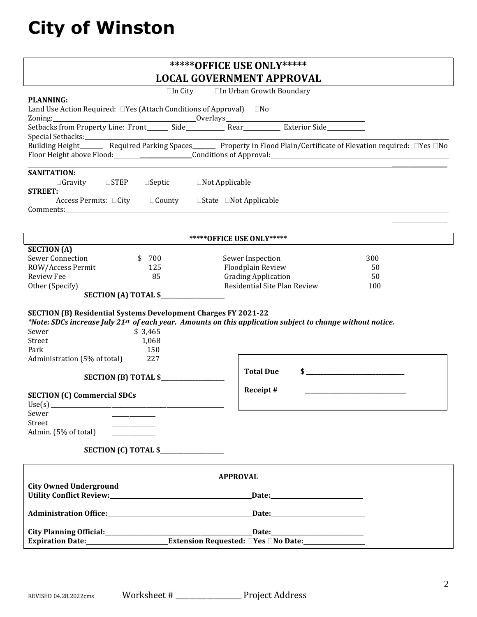# **City of Winston**

|                                                                                                                                                                                                                                                                                  | <b>*****OFFICE USE ONLY*****</b>                                                                                             |
|----------------------------------------------------------------------------------------------------------------------------------------------------------------------------------------------------------------------------------------------------------------------------------|------------------------------------------------------------------------------------------------------------------------------|
|                                                                                                                                                                                                                                                                                  | <b>LOCAL GOVERNMENT APPROVAL</b>                                                                                             |
| $\Box$ In City                                                                                                                                                                                                                                                                   | □In Urban Growth Boundary                                                                                                    |
| <b>PLANNING:</b><br>Land Use Action Required: $\Box$ Yes (Attach Conditions of Approval) $\Box$ No                                                                                                                                                                               |                                                                                                                              |
|                                                                                                                                                                                                                                                                                  |                                                                                                                              |
|                                                                                                                                                                                                                                                                                  |                                                                                                                              |
| Special Setbacks:                                                                                                                                                                                                                                                                |                                                                                                                              |
|                                                                                                                                                                                                                                                                                  | Building Height_________Required Parking Spaces__________Property in Flood Plain/Certificate of Elevation required: □Yes □No |
| Floor Height above Flood: Conditions of Approval: Conditions and Approval in the set of Approval in the set of                                                                                                                                                                   |                                                                                                                              |
| <b>SANITATION:</b>                                                                                                                                                                                                                                                               |                                                                                                                              |
| $\Box$ Gravity $\Box$ STEP $\Box$ Septic<br>$\Box$ Not Applicable                                                                                                                                                                                                                |                                                                                                                              |
| <b>STREET:</b><br>Access Permits: □City □ □ County<br>$\Box$ State $\Box$ Not Applicable                                                                                                                                                                                         |                                                                                                                              |
|                                                                                                                                                                                                                                                                                  |                                                                                                                              |
|                                                                                                                                                                                                                                                                                  |                                                                                                                              |
|                                                                                                                                                                                                                                                                                  |                                                                                                                              |
| <b>SECTION</b> (A)                                                                                                                                                                                                                                                               | *****OFFICE USE ONLY*****                                                                                                    |
| <b>Sewer Connection</b><br>\$700                                                                                                                                                                                                                                                 | 300<br>Sewer Inspection                                                                                                      |
| ROW/Access Permit<br>125                                                                                                                                                                                                                                                         | Floodplain Review<br>50                                                                                                      |
| <b>Review Fee</b><br>85                                                                                                                                                                                                                                                          | <b>Grading Application</b><br>50                                                                                             |
| Other (Specify)                                                                                                                                                                                                                                                                  | Residential Site Plan Review<br>100                                                                                          |
|                                                                                                                                                                                                                                                                                  |                                                                                                                              |
| <b>SECTION (B) Residential Systems Development Charges FY 2021-22</b><br>*Note: SDCs increase July 21st of each year. Amounts on this application subject to change without notice.<br>\$3,465<br>Sewer<br>Street<br>1,068<br>Park<br>150<br>227<br>Administration (5% of total) |                                                                                                                              |
|                                                                                                                                                                                                                                                                                  | $\sim$<br><b>Total Due</b>                                                                                                   |
| <b>SECTION (C) Commercial SDCs</b><br>Use(s)                                                                                                                                                                                                                                     | Receipt#                                                                                                                     |
| Sewer                                                                                                                                                                                                                                                                            |                                                                                                                              |
| Street                                                                                                                                                                                                                                                                           |                                                                                                                              |
| Admin. (5% of total)                                                                                                                                                                                                                                                             |                                                                                                                              |
|                                                                                                                                                                                                                                                                                  |                                                                                                                              |
|                                                                                                                                                                                                                                                                                  |                                                                                                                              |
| <b>City Owned Underground</b>                                                                                                                                                                                                                                                    | <b>APPROVAL</b>                                                                                                              |
| Utility Conflict Review: Management of the Conflict Review:                                                                                                                                                                                                                      |                                                                                                                              |
|                                                                                                                                                                                                                                                                                  |                                                                                                                              |
| Administration Office: National Administration Office:                                                                                                                                                                                                                           | Date: <u>Date:</u>                                                                                                           |
|                                                                                                                                                                                                                                                                                  |                                                                                                                              |
|                                                                                                                                                                                                                                                                                  |                                                                                                                              |
|                                                                                                                                                                                                                                                                                  |                                                                                                                              |